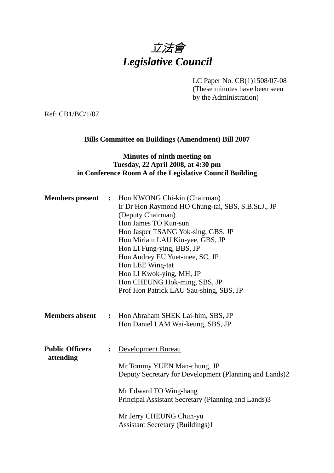# 立法會 *Legislative Council*

LC Paper No. CB(1)1508/07-08

(These minutes have been seen by the Administration)

Ref: CB1/BC/1/07

## **Bills Committee on Buildings (Amendment) Bill 2007**

#### **Minutes of ninth meeting on Tuesday, 22 April 2008, at 4:30 pm in Conference Room A of the Legislative Council Building**

| <b>Members</b> present              |                | : Hon KWONG Chi-kin (Chairman)<br>Ir Dr Hon Raymond HO Chung-tai, SBS, S.B.St.J., JP<br>(Deputy Chairman)<br>Hon James TO Kun-sun<br>Hon Jasper TSANG Yok-sing, GBS, JP<br>Hon Miriam LAU Kin-yee, GBS, JP<br>Hon LI Fung-ying, BBS, JP<br>Hon Audrey EU Yuet-mee, SC, JP<br>Hon LEE Wing-tat<br>Hon LI Kwok-ying, MH, JP<br>Hon CHEUNG Hok-ming, SBS, JP<br>Prof Hon Patrick LAU Sau-shing, SBS, JP |
|-------------------------------------|----------------|------------------------------------------------------------------------------------------------------------------------------------------------------------------------------------------------------------------------------------------------------------------------------------------------------------------------------------------------------------------------------------------------------|
| <b>Members absent</b>               | $\ddot{\cdot}$ | Hon Abraham SHEK Lai-him, SBS, JP<br>Hon Daniel LAM Wai-keung, SBS, JP                                                                                                                                                                                                                                                                                                                               |
| <b>Public Officers</b><br>attending | $\ddot{\cdot}$ | <b>Development Bureau</b><br>Mr Tommy YUEN Man-chung, JP<br>Deputy Secretary for Development (Planning and Lands)2<br>Mr Edward TO Wing-hang<br>Principal Assistant Secretary (Planning and Lands)3<br>Mr Jerry CHEUNG Chun-yu<br><b>Assistant Secretary (Buildings)1</b>                                                                                                                            |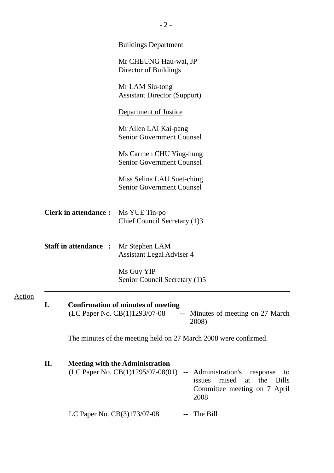|               |    |                                                                                                                          | <b>Buildings Department</b>                                                                                                                                                                                     |  |
|---------------|----|--------------------------------------------------------------------------------------------------------------------------|-----------------------------------------------------------------------------------------------------------------------------------------------------------------------------------------------------------------|--|
|               |    |                                                                                                                          | Mr CHEUNG Hau-wai, JP<br>Director of Buildings                                                                                                                                                                  |  |
|               |    |                                                                                                                          | Mr LAM Siu-tong<br><b>Assistant Director (Support)</b>                                                                                                                                                          |  |
|               |    |                                                                                                                          | <b>Department of Justice</b>                                                                                                                                                                                    |  |
|               |    |                                                                                                                          | Mr Allen LAI Kai-pang<br><b>Senior Government Counsel</b>                                                                                                                                                       |  |
|               |    |                                                                                                                          | Ms Carmen CHU Ying-hung<br><b>Senior Government Counsel</b>                                                                                                                                                     |  |
|               |    |                                                                                                                          | Miss Selina LAU Suet-ching<br><b>Senior Government Counsel</b>                                                                                                                                                  |  |
|               |    | <b>Clerk in attendance:</b>                                                                                              | Ms YUE Tin-po<br>Chief Council Secretary (1)3                                                                                                                                                                   |  |
|               |    | <b>Staff in attendance :</b>                                                                                             | Mr Stephen LAM<br><b>Assistant Legal Adviser 4</b>                                                                                                                                                              |  |
|               |    |                                                                                                                          | Ms Guy YIP<br>Senior Council Secretary (1)5                                                                                                                                                                     |  |
| <u>Action</u> | I. | <b>Confirmation of minutes of meeting</b><br>(LC Paper No. CB(1)1293/07-08<br>-- Minutes of meeting on 27 March<br>2008) |                                                                                                                                                                                                                 |  |
|               |    |                                                                                                                          | The minutes of the meeting held on 27 March 2008 were confirmed.                                                                                                                                                |  |
|               | П. |                                                                                                                          | <b>Meeting with the Administration</b><br>(LC Paper No. $CB(1)1295/07-08(01)$<br>-- Administration's<br>response<br>to<br>raised<br>the<br>issues<br><b>Bills</b><br>at<br>Committee meeting on 7 April<br>2008 |  |
|               |    | LC Paper No. CB(3)173/07-08                                                                                              | The Bill                                                                                                                                                                                                        |  |

- 2 -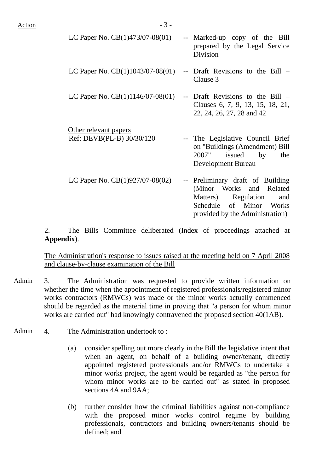| LC Paper No. $CB(1)473/07-08(01)$                  | -- Marked-up copy of the Bill<br>prepared by the Legal Service<br><b>Division</b>                                                                        |
|----------------------------------------------------|----------------------------------------------------------------------------------------------------------------------------------------------------------|
| LC Paper No. $CB(1)1043/07-08(01)$                 | -- Draft Revisions to the Bill –<br>Clause 3                                                                                                             |
| LC Paper No. $CB(1)1146/07-08(01)$                 | -- Draft Revisions to the Bill –<br>Clauses 6, 7, 9, 13, 15, 18, 21,<br>22, 24, 26, 27, 28 and 42                                                        |
| Other relevant papers<br>Ref: DEVB(PL-B) 30/30/120 | -- The Legislative Council Brief<br>on "Buildings (Amendment) Bill<br>issued by<br>2007"<br>the<br>Development Bureau                                    |
| LC Paper No. $CB(1)927/07-08(02)$                  | -- Preliminary draft of Building<br>(Minor Works and Related<br>Matters) Regulation<br>and<br>Schedule of Minor Works<br>provided by the Administration) |

2. The Bills Committee deliberated (Index of proceedings attached at **Appendix**).

The Administration's response to issues raised at the meeting held on 7 April 2008 and clause-by-clause examination of the Bill

- Admin 3. The Administration was requested to provide written information on whether the time when the appointment of registered professionals/registered minor works contractors (RMWCs) was made or the minor works actually commenced should be regarded as the material time in proving that "a person for whom minor works are carried out" had knowingly contravened the proposed section 40(1AB).
- Admin 4. The Administration undertook to:
	- (a) consider spelling out more clearly in the Bill the legislative intent that when an agent, on behalf of a building owner/tenant, directly appointed registered professionals and/or RMWCs to undertake a minor works project, the agent would be regarded as "the person for whom minor works are to be carried out" as stated in proposed sections 4A and 9AA;
	- (b) further consider how the criminal liabilities against non-compliance with the proposed minor works control regime by building professionals, contractors and building owners/tenants should be defined; and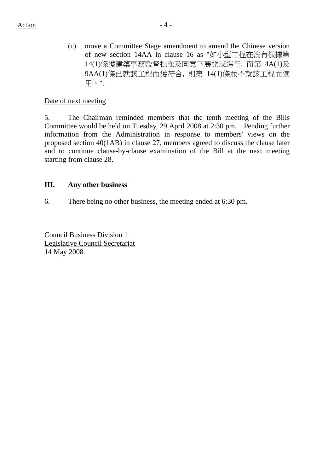(c) move a Committee Stage amendment to amend the Chinese version of new section 14AA in clause 16 as "如小型工程在沒有根據第 14(1)條獲建築事務監督批准及同意下展開或進行, 而第 4A(1)及 9AA(1)條已就該工程而獲符合, 則第 14(1)條並不就該工程而適 用。".

## Date of next meeting

5. The Chairman reminded members that the tenth meeting of the Bills Committee would be held on Tuesday, 29 April 2008 at 2:30 pm. Pending further information from the Administration in response to members' views on the proposed section 40(1AB) in clause 27, members agreed to discuss the clause later and to continue clause-by-clause examination of the Bill at the next meeting starting from clause 28.

## **III. Any other business**

6. There being no other business, the meeting ended at 6:30 pm.

Council Business Division 1 Legislative Council Secretariat 14 May 2008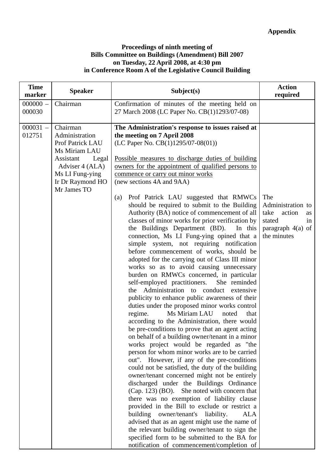#### **Proceedings of ninth meeting of Bills Committee on Buildings (Amendment) Bill 2007 on Tuesday, 22 April 2008, at 4:30 pm in Conference Room A of the Legislative Council Building**

| <b>Time</b><br>marker | <b>Speaker</b>                                                                                                                                                 | Subject(s)                                                                                                                                                                                                                                                                                                                                                                                                                                                                                                                                                                                                                                                                                                                                                                                                                                                                                                                                                                                                                                                                                                                                                                                                                                                                                                                                                                                                                                                                                                                                                                                                                                                                                                                                                                                                                                                                                                                                        | <b>Action</b><br>required                                                                              |
|-----------------------|----------------------------------------------------------------------------------------------------------------------------------------------------------------|---------------------------------------------------------------------------------------------------------------------------------------------------------------------------------------------------------------------------------------------------------------------------------------------------------------------------------------------------------------------------------------------------------------------------------------------------------------------------------------------------------------------------------------------------------------------------------------------------------------------------------------------------------------------------------------------------------------------------------------------------------------------------------------------------------------------------------------------------------------------------------------------------------------------------------------------------------------------------------------------------------------------------------------------------------------------------------------------------------------------------------------------------------------------------------------------------------------------------------------------------------------------------------------------------------------------------------------------------------------------------------------------------------------------------------------------------------------------------------------------------------------------------------------------------------------------------------------------------------------------------------------------------------------------------------------------------------------------------------------------------------------------------------------------------------------------------------------------------------------------------------------------------------------------------------------------------|--------------------------------------------------------------------------------------------------------|
| $000000 -$<br>000030  | Chairman                                                                                                                                                       | Confirmation of minutes of the meeting held on<br>27 March 2008 (LC Paper No. CB(1)1293/07-08)                                                                                                                                                                                                                                                                                                                                                                                                                                                                                                                                                                                                                                                                                                                                                                                                                                                                                                                                                                                                                                                                                                                                                                                                                                                                                                                                                                                                                                                                                                                                                                                                                                                                                                                                                                                                                                                    |                                                                                                        |
| $000031 -$<br>012751  | Chairman<br>Administration<br>Prof Patrick LAU<br>Ms Miriam LAU<br>Legal<br>Assistant<br>Adviser 4 (ALA)<br>Ms LI Fung-ying<br>Ir Dr Raymond HO<br>Mr James TO | The Administration's response to issues raised at<br>the meeting on 7 April 2008<br>(LC Paper No. $CB(1)1295/07-08(01)$ )<br>Possible measures to discharge duties of building<br>owners for the appointment of qualified persons to<br>commence or carry out minor works<br>(new sections 4A and 9AA)<br>Prof Patrick LAU suggested that RMWCs<br>(a)<br>should be required to submit to the Building<br>Authority (BA) notice of commencement of all<br>classes of minor works for prior verification by<br>the Buildings Department (BD).<br>In this<br>connection, Ms LI Fung-ying opined that a<br>simple system, not requiring notification<br>before commencement of works, should be<br>adopted for the carrying out of Class III minor<br>works so as to avoid causing unnecessary<br>burden on RMWCs concerned, in particular<br>self-employed practitioners.<br>She reminded<br>Administration to conduct<br>extensive<br>the<br>publicity to enhance public awareness of their<br>duties under the proposed minor works control<br>Ms Miriam LAU<br>regime.<br>noted<br>that<br>according to the Administration, there would<br>be pre-conditions to prove that an agent acting<br>on behalf of a building owner/tenant in a minor<br>works project would be regarded as "the<br>person for whom minor works are to be carried<br>out". However, if any of the pre-conditions<br>could not be satisfied, the duty of the building<br>owner/tenant concerned might not be entirely<br>discharged under the Buildings Ordinance<br>(Cap. 123) (BO). She noted with concern that<br>there was no exemption of liability clause<br>provided in the Bill to exclude or restrict a<br>building owner/tenant's<br>liability.<br><b>ALA</b><br>advised that as an agent might use the name of<br>the relevant building owner/tenant to sign the<br>specified form to be submitted to the BA for<br>notification of commencement/completion of | The<br>Administration to<br>take<br>action<br>as<br>stated<br>in<br>paragraph $4(a)$ of<br>the minutes |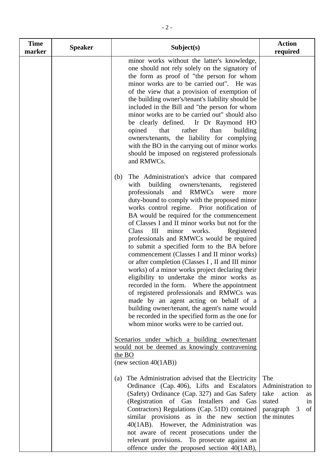| <b>Time</b><br>marker | <b>Speaker</b> | Subject(s)                                                                                                                                                                                                                                                                                                                                                                                                                                                                                                                                                                                                                                                                                                                                                                                                                                                                                                                                                                                            | <b>Action</b><br>required                                                                            |
|-----------------------|----------------|-------------------------------------------------------------------------------------------------------------------------------------------------------------------------------------------------------------------------------------------------------------------------------------------------------------------------------------------------------------------------------------------------------------------------------------------------------------------------------------------------------------------------------------------------------------------------------------------------------------------------------------------------------------------------------------------------------------------------------------------------------------------------------------------------------------------------------------------------------------------------------------------------------------------------------------------------------------------------------------------------------|------------------------------------------------------------------------------------------------------|
|                       |                | minor works without the latter's knowledge,<br>one should not rely solely on the signatory of<br>the form as proof of "the person for whom<br>minor works are to be carried out". He was<br>of the view that a provision of exemption of<br>the building owner's/tenant's liability should be<br>included in the Bill and "the person for whom<br>minor works are to be carried out" should also<br>be clearly defined. Ir Dr Raymond HO<br>that<br>rather<br>than<br>opined<br>building<br>owners/tenants, the liability for complying<br>with the BO in the carrying out of minor works<br>should be imposed on registered professionals<br>and RMWCs.                                                                                                                                                                                                                                                                                                                                              |                                                                                                      |
|                       |                | The Administration's advice that compared<br>(b)<br>building<br>with<br>owners/tenants,<br>registered<br>professionals<br><b>RMWCs</b><br>and<br>were<br>more<br>duty-bound to comply with the proposed minor<br>works control regime. Prior notification of<br>BA would be required for the commencement<br>of Classes I and II minor works but not for the<br>III<br>Class<br>Registered<br>minor<br>works.<br>professionals and RMWCs would be required<br>to submit a specified form to the BA before<br>commencement (Classes I and II minor works)<br>or after completion (Classes I, II and III minor<br>works) of a minor works project declaring their<br>eligibility to undertake the minor works as<br>recorded in the form. Where the appointment<br>of registered professionals and RMWCs was<br>made by an agent acting on behalf of a<br>building owner/tenant, the agent's name would<br>be recorded in the specified form as the one for<br>whom minor works were to be carried out. |                                                                                                      |
|                       |                | Scenarios under which a building owner/tenant<br>would not be deemed as knowingly contravening<br>the BO<br>(new section $40(1AB)$ )                                                                                                                                                                                                                                                                                                                                                                                                                                                                                                                                                                                                                                                                                                                                                                                                                                                                  |                                                                                                      |
|                       |                | (a) The Administration advised that the Electricity<br>Ordinance (Cap. 406), Lifts and Escalators<br>(Safety) Ordinance (Cap. 327) and Gas Safety<br>(Registration of Gas Installers and Gas<br>Contractors) Regulations (Cap. 51D) contained<br>similar provisions as in the new section<br>40(1AB). However, the Administration was<br>not aware of recent prosecutions under the<br>relevant provisions. To prosecute against an<br>offence under the proposed section $40(1AB)$ ,                                                                                                                                                                                                                                                                                                                                                                                                                                                                                                                 | The<br>Administration to<br>take<br>action<br>as<br>stated<br>in<br>of<br>paragraph 3<br>the minutes |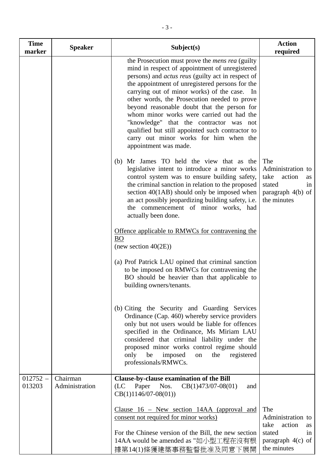| <b>Time</b><br>marker | <b>Speaker</b>             | Subject(s)                                                                                                                                                                                                                                                                                                                                                                                                                                                                                                                                                                            | <b>Action</b><br>required                                                                                     |
|-----------------------|----------------------------|---------------------------------------------------------------------------------------------------------------------------------------------------------------------------------------------------------------------------------------------------------------------------------------------------------------------------------------------------------------------------------------------------------------------------------------------------------------------------------------------------------------------------------------------------------------------------------------|---------------------------------------------------------------------------------------------------------------|
|                       |                            | the Prosecution must prove the <i>mens rea</i> (guilty<br>mind in respect of appointment of unregistered<br>persons) and <i>actus reus</i> (guilty act in respect of<br>the appointment of unregistered persons for the<br>carrying out of minor works) of the case. In<br>other words, the Prosecution needed to prove<br>beyond reasonable doubt that the person for<br>whom minor works were carried out had the<br>"knowledge" that the contractor was not<br>qualified but still appointed such contractor to<br>carry out minor works for him when the<br>appointment was made. |                                                                                                               |
|                       |                            | Mr James TO held the view that as the<br>(b)<br>legislative intent to introduce a minor works<br>control system was to ensure building safety,<br>the criminal sanction in relation to the proposed<br>section $40(1AB)$ should only be imposed when<br>an act possibly jeopardizing building safety, i.e.<br>the commencement of minor works, had<br>actually been done.                                                                                                                                                                                                             | The<br>Administration to<br>take<br>action<br><b>as</b><br>stated<br>in<br>paragraph $4(b)$ of<br>the minutes |
|                       |                            | Offence applicable to RMWCs for contravening the<br><b>BO</b><br>(new section $40(2E)$ )                                                                                                                                                                                                                                                                                                                                                                                                                                                                                              |                                                                                                               |
|                       |                            | (a) Prof Patrick LAU opined that criminal sanction<br>to be imposed on RMWCs for contravening the<br>BO should be heavier than that applicable to<br>building owners/tenants.                                                                                                                                                                                                                                                                                                                                                                                                         |                                                                                                               |
|                       |                            | (b) Citing the Security and Guarding Services<br>Ordinance (Cap. 460) whereby service providers<br>only but not users would be liable for offences<br>specified in the Ordinance, Ms Miriam LAU<br>considered that criminal liability under the<br>proposed minor works control regime should<br>only<br>be<br>imposed<br>the<br>registered<br>on<br>professionals/RMWCs.                                                                                                                                                                                                             |                                                                                                               |
| $012752 -$<br>013203  | Chairman<br>Administration | Clause-by-clause examination of the Bill<br>Nos.<br>$CB(1)473/07-08(01)$<br>(LC)<br>Paper<br>and<br>$CB(1)1146/07-08(01))$                                                                                                                                                                                                                                                                                                                                                                                                                                                            |                                                                                                               |
|                       |                            | Clause $16$ – New section 14AA (approval and<br>consent not required for minor works)<br>For the Chinese version of the Bill, the new section<br>14AA would be amended as "如小型工程在沒有根<br>據第14(1)條獲建築事務監督批准及同意下展開                                                                                                                                                                                                                                                                                                                                                                       | The<br>Administration to<br>action<br>take<br><b>as</b><br>stated<br>1n<br>paragraph $4(c)$ of<br>the minutes |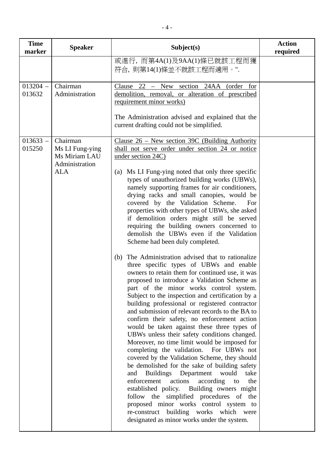| <b>Time</b><br>marker | <b>Speaker</b>                                                               | Subject(s)                                                                                                                                                                                                                                                                                                                                                                                                                                                                                                                                                                                                                                                                                                                                                                                                                                                                                                                                                                                                                                                                                                                                                                                                                                                                                                                                                                                                                                                                                                                                                                                                                                                                               | <b>Action</b><br>required |
|-----------------------|------------------------------------------------------------------------------|------------------------------------------------------------------------------------------------------------------------------------------------------------------------------------------------------------------------------------------------------------------------------------------------------------------------------------------------------------------------------------------------------------------------------------------------------------------------------------------------------------------------------------------------------------------------------------------------------------------------------------------------------------------------------------------------------------------------------------------------------------------------------------------------------------------------------------------------------------------------------------------------------------------------------------------------------------------------------------------------------------------------------------------------------------------------------------------------------------------------------------------------------------------------------------------------------------------------------------------------------------------------------------------------------------------------------------------------------------------------------------------------------------------------------------------------------------------------------------------------------------------------------------------------------------------------------------------------------------------------------------------------------------------------------------------|---------------------------|
|                       |                                                                              | 或進行, 而第4A(1)及9AA(1)條已就該工程而獲<br>符合, 則第14(1)條並不就該工程而適用。".                                                                                                                                                                                                                                                                                                                                                                                                                                                                                                                                                                                                                                                                                                                                                                                                                                                                                                                                                                                                                                                                                                                                                                                                                                                                                                                                                                                                                                                                                                                                                                                                                                  |                           |
| $013204 -$<br>013632  | Chairman<br>Administration                                                   | Clause $22$ – New section 24AA (order for<br>demolition, removal, or alteration of prescribed<br>requirement minor works)<br>The Administration advised and explained that the<br>current drafting could not be simplified.                                                                                                                                                                                                                                                                                                                                                                                                                                                                                                                                                                                                                                                                                                                                                                                                                                                                                                                                                                                                                                                                                                                                                                                                                                                                                                                                                                                                                                                              |                           |
| $013633 -$<br>015250  | Chairman<br>Ms LI Fung-ying<br>Ms Miriam LAU<br>Administration<br><b>ALA</b> | Clause $26$ – New section 39C (Building Authority<br>shall not serve order under section 24 or notice<br>under section 24C)<br>(a) Ms LI Fung-ying noted that only three specific<br>types of unauthorized building works (UBWs),<br>namely supporting frames for air conditioners,<br>drying racks and small canopies, would be<br>covered by the Validation Scheme.<br>For<br>properties with other types of UBWs, she asked<br>if demolition orders might still be served<br>requiring the building owners concerned to<br>demolish the UBWs even if the Validation<br>Scheme had been duly completed.<br>(b) The Administration advised that to rationalize<br>three specific types of UBWs and enable<br>owners to retain them for continued use, it was<br>proposed to introduce a Validation Scheme as<br>part of the minor works control system.<br>Subject to the inspection and certification by a<br>building professional or registered contractor<br>and submission of relevant records to the BA to<br>confirm their safety, no enforcement action<br>would be taken against these three types of<br>UBWs unless their safety conditions changed.<br>Moreover, no time limit would be imposed for<br>completing the validation. For UBWs not<br>covered by the Validation Scheme, they should<br>be demolished for the sake of building safety<br>Buildings Department would<br>take<br>and<br>enforcement actions<br>according<br>the<br>to<br>established policy. Building owners might<br>follow the simplified procedures of the<br>proposed minor works control system to<br>re-construct building works which<br>were<br>designated as minor works under the system. |                           |